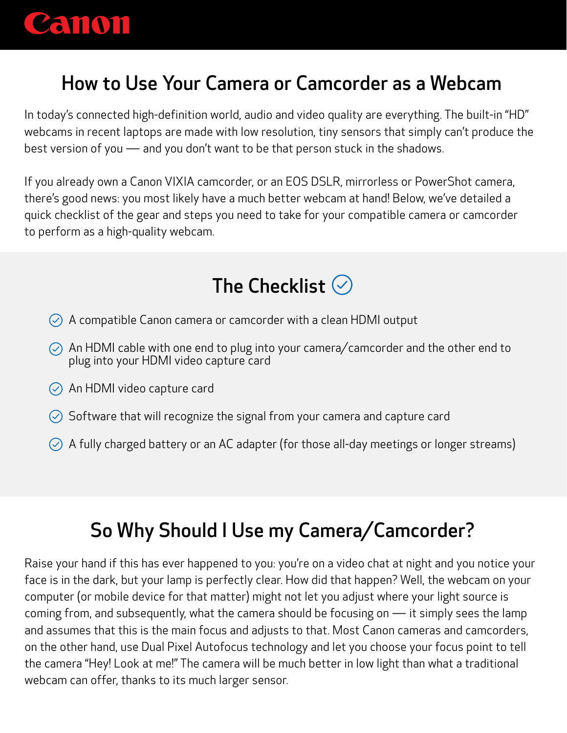

## How to Use Your Camera or Camcorder as a Webcam

In today's connected high-definition world, audio and video quality are everything. The built-in "HD" webcams in recent laptops are made with low resolution, tiny sensors that simply can't produce the best version of you ― and you don't want to be that person stuck in the shadows.

If you already own a Canon VIXIA camcorder, or an EOS DSLR, mirrorless or PowerShot camera, there's good news: you most likely have a much better webcam at hand! Below, we've detailed a quick checklist of the gear and steps you need to take for your compatible camera or camcorder to perform as a high-quality webcam.



- $\heartsuit$  A compatible Canon camera or camcorder with a clean HDMI output
- $\circled{C}$  An HDMI cable with one end to plug into your camera/camcorder and the other end to plug into your HDMI video capture card
- An HDMI video capture card
- $\heartsuit$  Software that will recognize the signal from your camera and capture card
- $\oslash$  A fully charged battery or an AC adapter (for those all-day meetings or longer streams)

# So Why Should I Use my Camera/Camcorder?

Raise your hand if this has ever happened to you: you're on a video chat at night and you notice your face is in the dark, but your lamp is perfectly clear. How did that happen? Well, the webcam on your computer (or mobile device for that matter) might not let you adjust where your light source is coming from, and subsequently, what the camera should be focusing on ― it simply sees the lamp and assumes that this is the main focus and adjusts to that. Most Canon cameras and camcorders, on the other hand, use Dual Pixel Autofocus technology and let you choose your focus point to tell the camera "Hey! Look at me!" The camera will be much better in low light than what a traditional webcam can offer, thanks to its much larger sensor.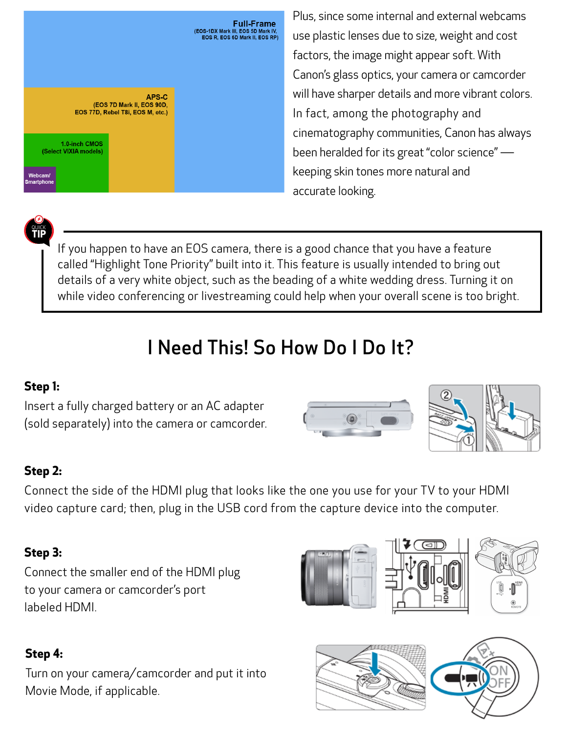

Plus, since some internal and external webcams use plastic lenses due to size, weight and cost factors, the image might appear soft. With Canon's glass optics, your camera or camcorder will have sharper details and more vibrant colors. In fact, among the photography and cinematography communities, Canon has always been heralded for its great "color science" ― keeping skin tones more natural and accurate looking.

QUICK **TIP**

If you happen to have an EOS camera, there is a good chance that you have a feature called "Highlight Tone Priority" built into it. This feature is usually intended to bring out details of a very white object, such as the beading of a white wedding dress. Turning it on while video conferencing or livestreaming could help when your overall scene is too bright.

# I Need This! So How Do I Do It?

#### **Step 1:**

Insert a fully charged battery or an AC adapter (sold separately) into the camera or camcorder.

## **Step 2:**

Connect the side of the HDMI plug that looks like the one you use for your TV to your HDMI video capture card; then, plug in the USB cord from the capture device into the computer.

#### **Step 3:**

Connect the smaller end of the HDMI plug to your camera or camcorder's port labeled HDMI.

### **Step 4:**

Turn on your camera/camcorder and put it into Movie Mode, if applicable.







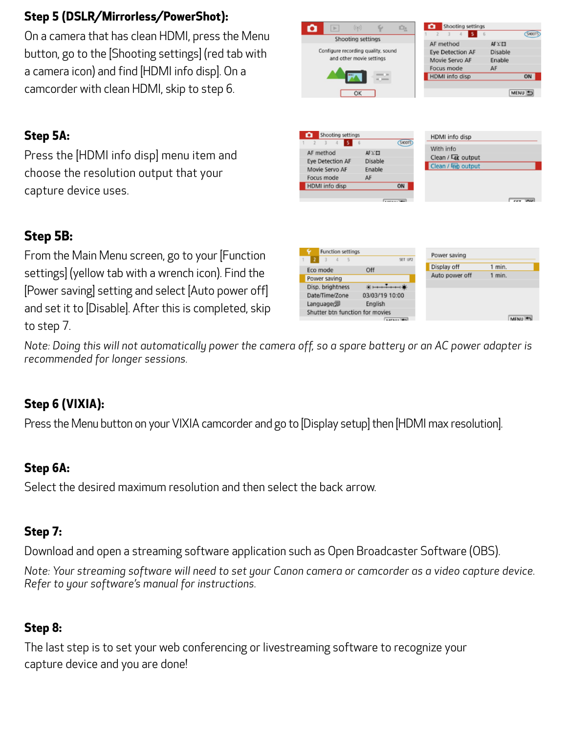#### **Step 5 (DSLR/Mirrorless/PowerShot):**

On a camera that has clean HDMI, press the Menu button, go to the [Shooting settings] (red tab with a camera icon) and find [HDMI info disp]. On a camcorder with clean HDMI, skip to step 6.

#### **Step 5A:**

Press the [HDMI info disp] menu item and choose the resolution output that your capture device uses.

#### **Step 5B:**

From the Main Menu screen, go to your [Function settings] (yellow tab with a wrench icon). Find the [Power saving] setting and select [Auto power off] and set it to [Disable]. After this is completed, skip to step 7.



iÖ»

 $\left\vert \mathbf{r}\right\vert$ 

Shooting settings

Shooting settings

AF method

 $5<sup>1</sup>$ 

 $AF \Sigma E3$ 

SHOOT

*Note: Doing this will not automatically power the camera off, so a spare battery or an AC power adapter is recommended for longer sessions.*

#### **Step 6 (VIXIA):**

Press the Menu button on your VIXIA camcorder and go to [Display setup] then [HDMI max resolution].

#### **Step 6A:**

Select the desired maximum resolution and then select the back arrow.

#### **Step 7:**

Download and open a streaming software application such as Open Broadcaster Software (OBS).

*Note: Your streaming software will need to set your Canon camera or camcorder as a video capture device. Refer to your software's manual for instructions.*

#### **Step 8:**

The last step is to set your web conferencing or livestreaming software to recognize your capture device and you are done!